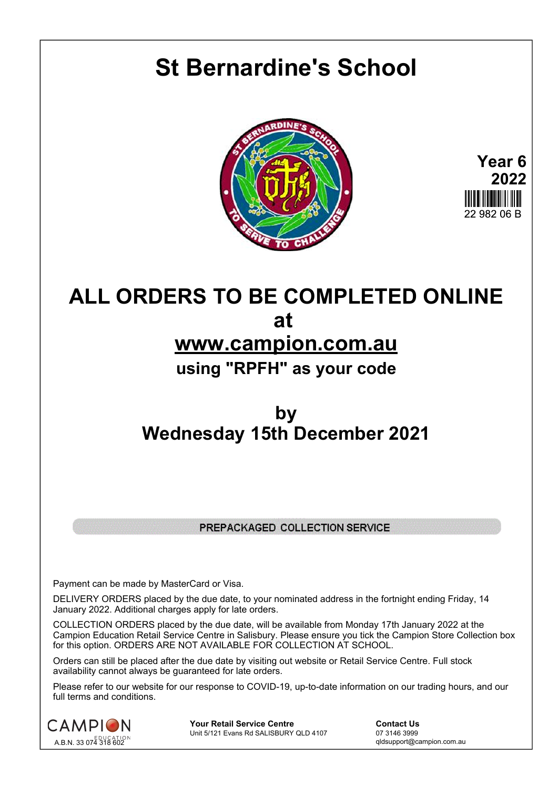## **St Bernardine's School**





## **ALL ORDERS TO BE COMPLETED ONLINE at www.campion.com.au using "RPFH" as your code**

## **by Wednesday 15th December 2021**

## PREPACKAGED COLLECTION SERVICE

Payment can be made by MasterCard or Visa.

DELIVERY ORDERS placed by the due date, to your nominated address in the fortnight ending Friday, 14 January 2022. Additional charges apply for late orders.

COLLECTION ORDERS placed by the due date, will be available from Monday 17th January 2022 at the Campion Education Retail Service Centre in Salisbury. Please ensure you tick the Campion Store Collection box for this option. ORDERS ARE NOT AVAILABLE FOR COLLECTION AT SCHOOL.

Orders can still be placed after the due date by visiting out website or Retail Service Centre. Full stock availability cannot always be guaranteed for late orders.

Please refer to our website for our response to COVID-19, up-to-date information on our trading hours, and our full terms and conditions.



**Your Retail Service Centre Contact Us**<br>
Unit 5/121 Evans Rd SALISBURY QLD 4107

07 3146 3999 Unit 5/121 Evans Rd SALISBURY QLD 4107

qldsupport@campion.com.au